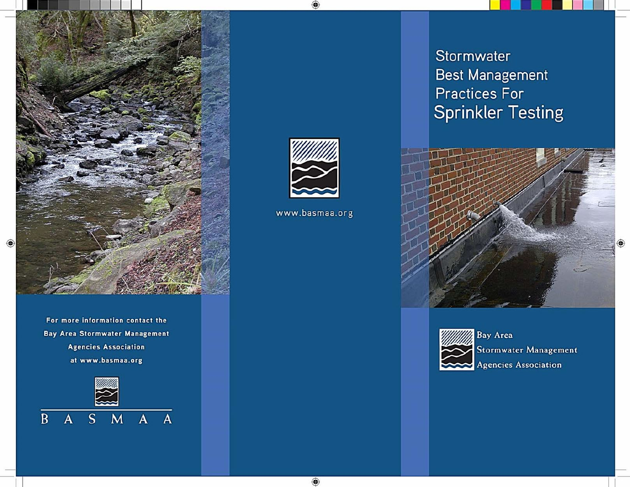

For more information contact the **Bay Area Stormwater Management Agencies Association** at www.basmaa.org





www.basmaa.org

◈

Stormwater **Best Management Practices For Sprinkler Testing** 





**Bay Area Stormwater Management** Agencies Association